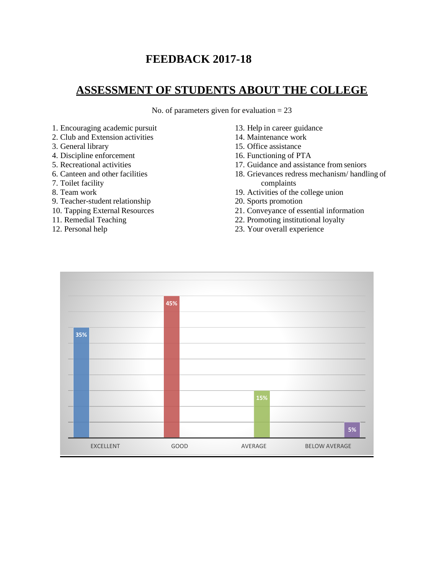# **FEEDBACK 2017-18**

# **ASSESSMENT OF STUDENTS ABOUT THE COLLEGE**

No. of parameters given for evaluation  $= 23$ 

- 1. Encouraging academic pursuit
- 2. Club and Extension activities
- 3. General library
- 4. Discipline enforcement
- 5. Recreational activities
- 6. Canteen and other facilities
- 7. Toilet facility
- 8. Team work
- 9. Teacher-student relationship
- 10. Tapping External Resources
- 11. Remedial Teaching
- 12. Personal help
- 13. Help in career guidance
- 14. Maintenance work
- 15. Office assistance
- 16. Functioning of PTA
- 17. Guidance and assistance from seniors
- 18. Grievances redress mechanism/ handling of complaints
- 19. Activities of the college union
- 20. Sports promotion
- 21. Conveyance of essential information
- 22. Promoting institutional loyalty
- 23. Your overall experience

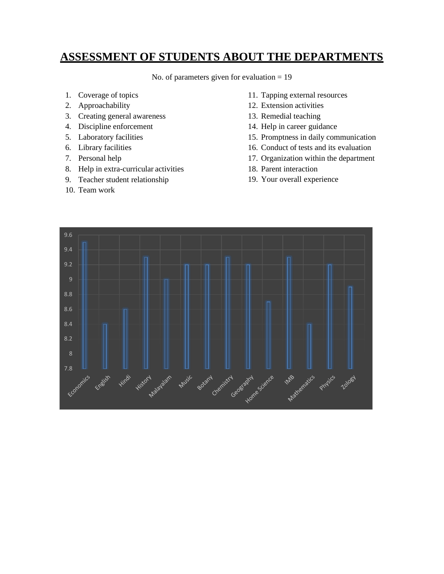## **ASSESSMENT OF STUDENTS ABOUT THE DEPARTMENTS**

No. of parameters given for evaluation = 19

- 1. Coverage of topics
- 2. Approachability
- 3. Creating general awareness
- 4. Discipline enforcement
- 5. Laboratory facilities
- 6. Library facilities
- 7. Personal help
- 8. Help in extra-curricular activities
- 9. Teacher student relationship
- 10. Team work
- 11. Tapping external resources
- 12. Extension activities
- 13. Remedial teaching
- 14. Help in career guidance
- 15. Promptness in daily communication
- 16. Conduct of tests and its evaluation
- 17. Organization within the department
- 18. Parent interaction
- 19. Your overall experience

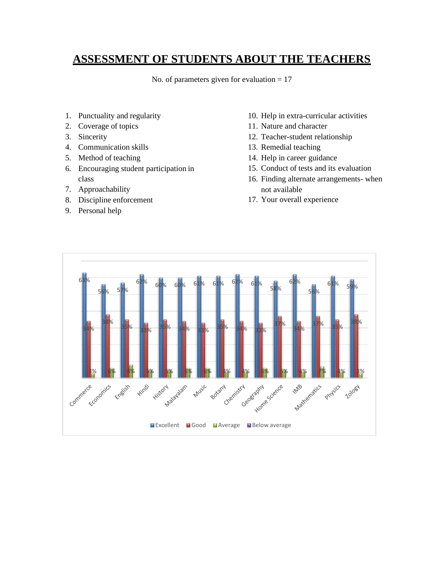## **ASSESSMENT OF STUDENTS ABOUT THE TEACHERS**

No. of parameters given for evaluation  $= 17$ 

- 1. Punctuality and regularity
- 2. Coverage of topics
- 3. Sincerity
- 4. Communication skills
- 5. Method of teaching
- 6. Encouraging student participation in class
- 7. Approachability
- 8. Discipline enforcement
- 9. Personal help
- 10. Help in extra-curricular activities
- 11. Nature and character
- 12. Teacher-student relationship
- 13. Remedial teaching
- 14. Help in career guidance
- 15. Conduct of tests and its evaluation
- 16. Finding alternate arrangements- when not available
- 17. Your overall experience

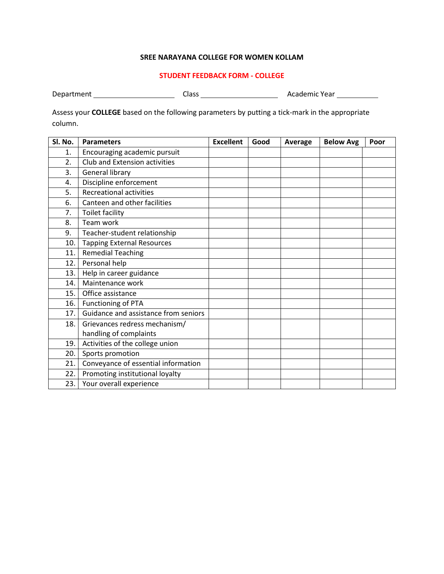#### **STUDENT FEEDBACK FORM - COLLEGE**

| Department | Class | Academic Year |
|------------|-------|---------------|
|------------|-------|---------------|

Assess your **COLLEGE** based on the following parameters by putting a tick-mark in the appropriate column.

| Sl. No. | <b>Parameters</b>                    | <b>Excellent</b> | Good | Average | <b>Below Avg</b> | Poor |
|---------|--------------------------------------|------------------|------|---------|------------------|------|
| 1.      | Encouraging academic pursuit         |                  |      |         |                  |      |
| 2.      | Club and Extension activities        |                  |      |         |                  |      |
| 3.      | <b>General library</b>               |                  |      |         |                  |      |
| 4.      | Discipline enforcement               |                  |      |         |                  |      |
| 5.      | <b>Recreational activities</b>       |                  |      |         |                  |      |
| 6.      | Canteen and other facilities         |                  |      |         |                  |      |
| 7.      | <b>Toilet facility</b>               |                  |      |         |                  |      |
| 8.      | Team work                            |                  |      |         |                  |      |
| 9.      | Teacher-student relationship         |                  |      |         |                  |      |
| 10.     | <b>Tapping External Resources</b>    |                  |      |         |                  |      |
| 11.     | <b>Remedial Teaching</b>             |                  |      |         |                  |      |
| 12.     | Personal help                        |                  |      |         |                  |      |
| 13.     | Help in career guidance              |                  |      |         |                  |      |
| 14.     | Maintenance work                     |                  |      |         |                  |      |
| 15.     | Office assistance                    |                  |      |         |                  |      |
| 16.     | Functioning of PTA                   |                  |      |         |                  |      |
| 17.     | Guidance and assistance from seniors |                  |      |         |                  |      |
| 18.     | Grievances redress mechanism/        |                  |      |         |                  |      |
|         | handling of complaints               |                  |      |         |                  |      |
| 19.     | Activities of the college union      |                  |      |         |                  |      |
| 20.     | Sports promotion                     |                  |      |         |                  |      |
| 21.     | Conveyance of essential information  |                  |      |         |                  |      |
| 22.     | Promoting institutional loyalty      |                  |      |         |                  |      |
| 23.     | Your overall experience              |                  |      |         |                  |      |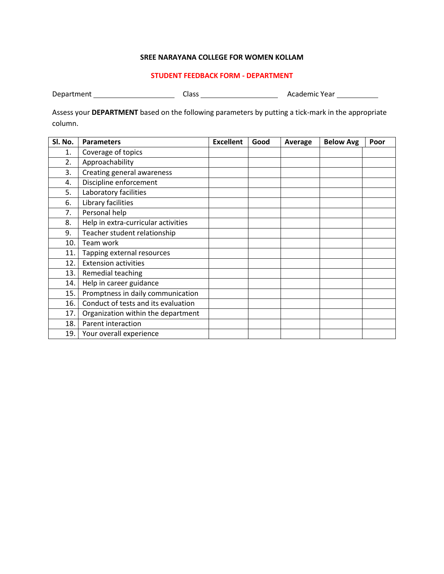#### **STUDENT FEEDBACK FORM - DEPARTMENT**

Department Class Academic Year

Assess your **DEPARTMENT** based on the following parameters by putting a tick-mark in the appropriate column.

| Sl. No. | <b>Parameters</b>                   | <b>Excellent</b> | Good | Average | <b>Below Avg</b> | Poor |
|---------|-------------------------------------|------------------|------|---------|------------------|------|
| 1.      | Coverage of topics                  |                  |      |         |                  |      |
| 2.      | Approachability                     |                  |      |         |                  |      |
| 3.      | Creating general awareness          |                  |      |         |                  |      |
| 4.      | Discipline enforcement              |                  |      |         |                  |      |
| 5.      | Laboratory facilities               |                  |      |         |                  |      |
| 6.      | Library facilities                  |                  |      |         |                  |      |
| 7.      | Personal help                       |                  |      |         |                  |      |
| 8.      | Help in extra-curricular activities |                  |      |         |                  |      |
| 9.      | Teacher student relationship        |                  |      |         |                  |      |
| 10.     | Team work                           |                  |      |         |                  |      |
| 11.     | Tapping external resources          |                  |      |         |                  |      |
| 12.     | <b>Extension activities</b>         |                  |      |         |                  |      |
| 13.     | Remedial teaching                   |                  |      |         |                  |      |
| 14.     | Help in career guidance             |                  |      |         |                  |      |
| 15.     | Promptness in daily communication   |                  |      |         |                  |      |
| 16.     | Conduct of tests and its evaluation |                  |      |         |                  |      |
| 17.     | Organization within the department  |                  |      |         |                  |      |
| 18.     | Parent interaction                  |                  |      |         |                  |      |
| 19.     | Your overall experience             |                  |      |         |                  |      |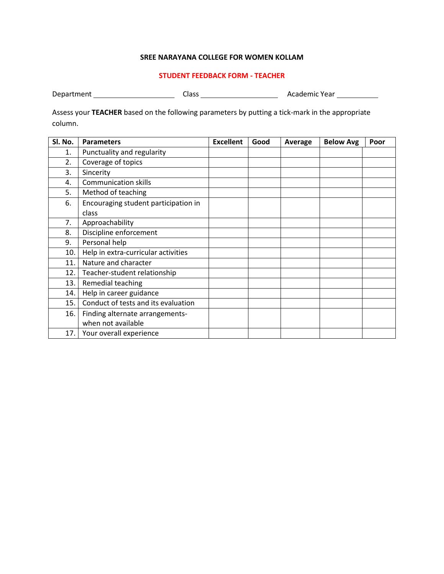#### **STUDENT FEEDBACK FORM - TEACHER**

 $\overline{\phantom{a}}$ 

| Department<br>Academic Year<br>Class |  |
|--------------------------------------|--|
|--------------------------------------|--|

Assess your **TEACHER** based on the following parameters by putting a tick-mark in the appropriate column.

| Sl. No. | <b>Parameters</b>                    | <b>Excellent</b> | Good | Average | <b>Below Avg</b> | Poor |
|---------|--------------------------------------|------------------|------|---------|------------------|------|
| 1.      | Punctuality and regularity           |                  |      |         |                  |      |
| 2.      | Coverage of topics                   |                  |      |         |                  |      |
| 3.      | Sincerity                            |                  |      |         |                  |      |
| 4.      | <b>Communication skills</b>          |                  |      |         |                  |      |
| 5.      | Method of teaching                   |                  |      |         |                  |      |
| 6.      | Encouraging student participation in |                  |      |         |                  |      |
|         | class                                |                  |      |         |                  |      |
| 7.      | Approachability                      |                  |      |         |                  |      |
| 8.      | Discipline enforcement               |                  |      |         |                  |      |
| 9.      | Personal help                        |                  |      |         |                  |      |
| 10.     | Help in extra-curricular activities  |                  |      |         |                  |      |
| 11.     | Nature and character                 |                  |      |         |                  |      |
| 12.     | Teacher-student relationship         |                  |      |         |                  |      |
| 13.     | Remedial teaching                    |                  |      |         |                  |      |
| 14.     | Help in career guidance              |                  |      |         |                  |      |
| 15.     | Conduct of tests and its evaluation  |                  |      |         |                  |      |
| 16.     | Finding alternate arrangements-      |                  |      |         |                  |      |
|         | when not available                   |                  |      |         |                  |      |
| 17.     | Your overall experience              |                  |      |         |                  |      |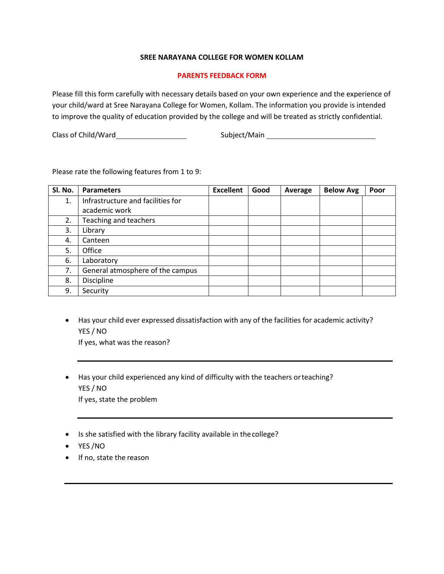### **PARENTS FEEDBACK FORM**

Please fill this form carefully with necessary details based on your own experience and the experience of your child/ward at Sree Narayana College for Women, Kollam. The information you provide is intended to improve the quality of education provided by the college and will be treated as strictly confidential.

Class of Child/Ward Subject/Main

Please rate the following features from 1 to 9:

| SI. No. | <b>Parameters</b>                 | <b>Excellent</b> | Good | Average | <b>Below Avg</b> | Poor |
|---------|-----------------------------------|------------------|------|---------|------------------|------|
| 1.      | Infrastructure and facilities for |                  |      |         |                  |      |
|         | academic work                     |                  |      |         |                  |      |
| 2.      | Teaching and teachers             |                  |      |         |                  |      |
| 3.      | Library                           |                  |      |         |                  |      |
| 4.      | Canteen                           |                  |      |         |                  |      |
| 5.      | Office                            |                  |      |         |                  |      |
| 6.      | Laboratory                        |                  |      |         |                  |      |
| 7.      | General atmosphere of the campus  |                  |      |         |                  |      |
| 8.      | Discipline                        |                  |      |         |                  |      |
| 9.      | Security                          |                  |      |         |                  |      |

• Has your child ever expressed dissatisfaction with any of the facilities for academic activity? YES / NO

If yes, what was the reason?

- Has your child experienced any kind of difficulty with the teachers orteaching? YES / NO If yes, state the problem
- Is she satisfied with the library facility available in thecollege?
- YES /NO
- If no, state the reason